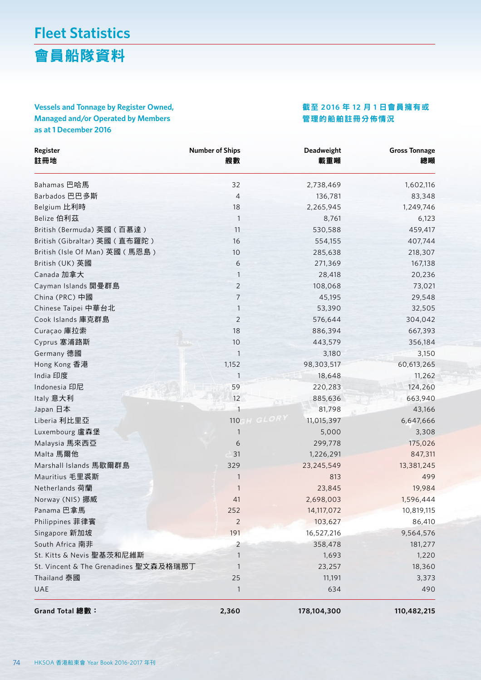會員船隊資料

### **Vessels and Tonnage by Register Owned, Managed and/or Operated by Members as at 1 December 2016**

#### 截至 **2016** 年 **12** 月 **1** 日會員擁有或 管理的船舶註冊分佈情況

| Register<br>註冊地                       | <b>Number of Ships</b><br>艘數 | Deadweight<br>載重噸 | <b>Gross Tonnage</b><br>總噸 |
|---------------------------------------|------------------------------|-------------------|----------------------------|
| Bahamas 巴哈馬                           | 32                           | 2,738,469         | 1,602,116                  |
| Barbados 巴巴多斯                         | 4                            | 136,781           | 83,348                     |
| Belgium 比利時                           | 18                           | 2,265,945         | 1,249,746                  |
| Belize 伯利茲                            | $\mathbf{1}$                 | 8,761             | 6,123                      |
| British (Bermuda) 英國 (百慕達)            | 11                           | 530,588           | 459,417                    |
| British (Gibraltar) 英國 (直布羅陀)         | 16                           | 554,155           | 407,744                    |
| British (Isle Of Man) 英國 (馬恩島)        | 10                           | 285,638           | 218,307                    |
| British (UK) 英國                       | 6                            | 271,369           | 167,138                    |
| Canada 加拿大                            | 1                            | 28,418            | 20,236                     |
| Cayman Islands 開曼群島                   | $\overline{2}$               | 108,068           | 73,021                     |
| China (PRC) 中國                        | $\overline{7}$               | 45,195            | 29,548                     |
| Chinese Taipei 中華台北                   | $\mathbf{1}$                 | 53,390            | 32,505                     |
| Cook Islands 庫克群島                     | $\overline{2}$               | 576,644           | 304,042                    |
| Curaçao 庫拉索                           | 18                           | 886,394           | 667,393                    |
| Cyprus 塞浦路斯                           | 10                           | 443,579           | 356,184                    |
| Germany 德國                            | 1                            | 3,180             | 3,150                      |
| Hong Kong 香港                          | 1,152                        | 98,303,517        | 60,613,265                 |
| India 印度                              | $\mathbf{1}$                 | 18,648            | 11,262                     |
| Indonesia 印尼                          | 59                           | 220,283           | 124,260                    |
| Italy 意大利                             | 12                           | 885,636           | 663,940                    |
| Japan 日本                              | $\mathbf{1}$                 | 81,798            | 43,166                     |
| Liberia 利比里亞                          | H GLOR)<br>110               | 11,015,397        | 6,647,666                  |
| Luxembourg 盧森堡                        | 1                            | 5,000             | 3,308                      |
| Malaysia 馬來西亞                         | 6                            | 299,778           | 175,026                    |
| Malta 馬爾他                             | 31                           | 1,226,291         | 847,311                    |
| Marshall Islands 馬歇爾群島                | 329                          | 23,245,549        | 13,381,245                 |
| Mauritius 毛里裘斯                        | 1                            | 813               | 499                        |
| Netherlands 荷蘭                        | 1                            | 23,845            | 19,984                     |
| Norway (NIS) 挪威                       | 41                           | 2,698,003         | 1,596,444                  |
| Panama 巴拿馬                            | 252                          | 14,117,072        | 10,819,115                 |
| Philippines 菲律賓                       | $\overline{2}$               | 103,627           | 86,410                     |
| Singapore 新加坡                         | 191                          | 16,527,216        | 9,564,576                  |
| South Africa 南非                       | $\overline{2}$               | 358,478           | 181,277                    |
| St. Kitts & Nevis 聖基茨和尼維斯             | 1                            | 1,693             | 1,220                      |
| St. Vincent & The Grenadines 聖文森及格瑞那丁 | 1                            | 23,257            | 18,360                     |
| <b>Thailand 泰國</b>                    | 25                           | 11,191            | 3,373                      |
| UAE                                   | 1                            | 634               | 490                        |
| Grand Total 總數:                       | 2,360                        | 178,104,300       | 110,482,215                |